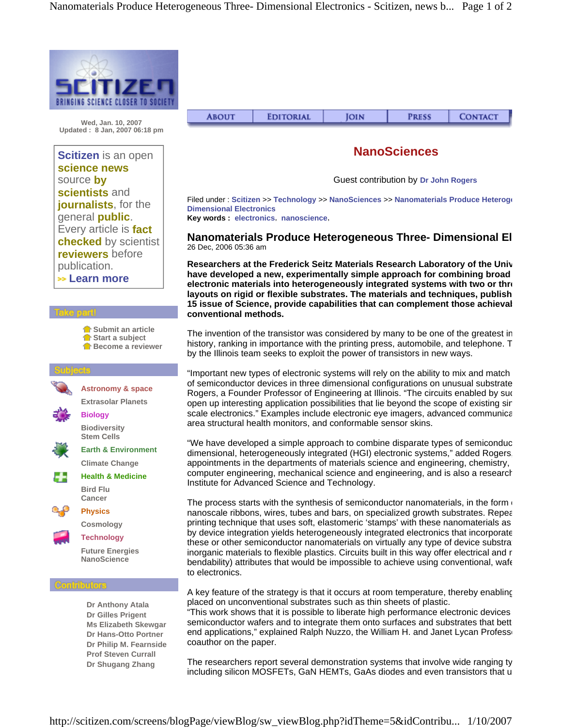

**Wed, Jan. 10, 2007 Updated : 8 Jan, 2007 06:18 pm**

## **Scitizen** is an open **science news** source **by scientists** and **journalists**, for the general **public**. Every article is **fact checked** by scientist **reviewers** before publication.  **Learn more**







**Future Energies NanoScience**

**Dr Anthony Atala Dr Gilles Prigent Ms Elizabeth Skewgar Dr Hans-Otto Portner Dr Philip M. Fearnside Prof Steven Currall Dr Shugang Zhang**

| <b>CONTACT</b><br><b>EDITORIAL</b><br><b>ABOUT</b><br><b>PRESS</b><br>IOIN |
|----------------------------------------------------------------------------|
|----------------------------------------------------------------------------|

## **NanoSciences**

Guest contribution by **Dr John Rogers**

Filed under : **Scitizen** >> **Technology** >> **NanoSciences** >> **Nanomaterials Produce Heteroge Dimensional Electronics** 

**Key words : electronics**, **nanoscience**,

**Nanomaterials Produce Heterogeneous Three- Dimensional El** 26 Dec, 2006 05:36 am

**Researchers at the Frederick Seitz Materials Research Laboratory of the Univ have developed a new, experimentally simple approach for combining broad electronic materials into heterogeneously integrated systems with two or thre layouts on rigid or flexible substrates. The materials and techniques, publish 15 issue of Science, provide capabilities that can complement those achievab conventional methods.**

The invention of the transistor was considered by many to be one of the greatest in history, ranking in importance with the printing press, automobile, and telephone. T by the Illinois team seeks to exploit the power of transistors in new ways.

"Important new types of electronic systems will rely on the ability to mix and match of semiconductor devices in three dimensional configurations on unusual substrate Rogers, a Founder Professor of Engineering at Illinois. "The circuits enabled by suc open up interesting application possibilities that lie beyond the scope of existing sin scale electronics." Examples include electronic eye imagers, advanced communica area structural health monitors, and conformable sensor skins.

"We have developed a simple approach to combine disparate types of semiconduc dimensional, heterogeneously integrated (HGI) electronic systems," added Rogers, appointments in the departments of materials science and engineering, chemistry, computer engineering, mechanical science and engineering, and is also a research Institute for Advanced Science and Technology.

The process starts with the synthesis of semiconductor nanomaterials, in the form of nanoscale ribbons, wires, tubes and bars, on specialized growth substrates. Repear printing technique that uses soft, elastomeric 'stamps' with these nanomaterials as by device integration yields heterogeneously integrated electronics that incorporate these or other semiconductor nanomaterials on virtually any type of device substrat inorganic materials to flexible plastics. Circuits built in this way offer electrical and r bendability) attributes that would be impossible to achieve using conventional, wafe to electronics.

A key feature of the strategy is that it occurs at room temperature, thereby enabling placed on unconventional substrates such as thin sheets of plastic.

"This work shows that it is possible to liberate high performance electronic devices semiconductor wafers and to integrate them onto surfaces and substrates that bett end applications," explained Ralph Nuzzo, the William H. and Janet Lycan Professo coauthor on the paper.

The researchers report several demonstration systems that involve wide ranging ty including silicon MOSFETs, GaN HEMTs, GaAs diodes and even transistors that u